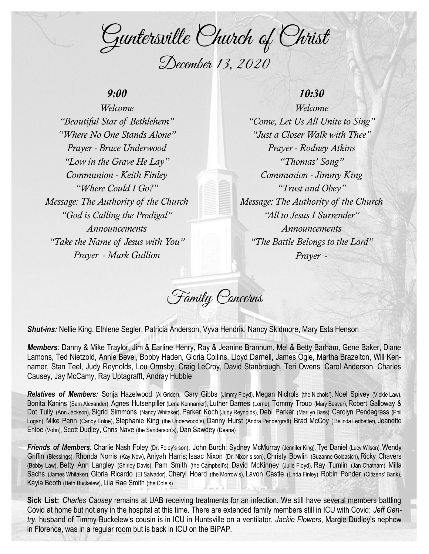Guntersville Church of Christ December 13, 2020

## *9:00*

*Welcome "Beautiful Star of Bethlehem" "Where No One Stands Alone" Prayer - Bruce Underwood "Low in the Grave He Lay" Communion - Keith Finley "Where Could I Go?" Message: The Authority of the Church "God is Calling the Prodigal" Announcements "Take the Name of Jesus with You" Prayer - Mark Gullion*

# *10:30*

*Welcome "Come, Let Us All Unite to Sing" "Just a Closer Walk with Thee" Prayer - Rodney Atkins "Thomas' Song" Communion - Jimmy King "Trust and Obey" Message: The Authority of the Church "All to Jesus I Surrender" Announcements "The Battle Belongs to the Lord" Prayer -*

Family Concerns

*Shut-ins:* Nellie King, Ethlene Segler, Patricia Anderson, Vyva Hendrix, Nancy Skidmore, Mary Esta Henson

*Members:* Danny & Mike Traylor, Jim & Earline Henry, Ray & Jeanine Brannum, Mel & Betty Barham, Gene Baker, Diane Lamons, Ted Nietzold, Annie Bevel, Bobby Haden, Gloria Collins, Lloyd Darnell, James Ogle, Martha Brazelton, Will Kennamer, Stan Teel, Judy Reynolds, Lou Ormsby, Craig LeCroy, David Stanbrough, Teri Owens, Carol Anderson, Charles Causey, Jay McCamy, Ray Uptagrafft, Andray Hubble

*Relatives of Members:* Sonja Hazelwood (Al Grider), Gary Gibbs (Jimmy Floyd), Megan Nichols (the Nichols'), Noel Spivey (Vickie Law), Bonita Kanins (Sam Alexander), Agnes Hutsenpiller (Lena Kennamer), Luther Barnes (Lorne), Tommy Troup (Mary Beaver), Robert Galloway & Dot Tully (Ann Jackson), Sigrid Simmons (Nancy Whitaker), Parker Koch (Judy Reynolds), Debi Parker (Marilyn Bass), Carolyn Pendegrass (Phil Logan), Mike Penn (Candy Enloe), Stephanie King (the Underwood's), Danny Hurst (Andra Pendergraft), Brad McCoy ( Belinda Ledbetter), Jeanette Enloe (Vohn), Scott Dudley, Chris Nave (the Sanderson's), Dan Sawdey (Deana)

Friends of Members: Charlie Nash Foley (Dr. Foley's son), John Burch; Sydney McMurray (Jennifer King), Tye Daniel (Lucy Wilson), Wendy Griffin (Blessings), Rhonda Norris (Kay New), Aniyah Harris; Isaac Nixon (Dr. Nixon's son), Christy Bowlin (Suzanne Goldasich), Ricky Chavers (Bobby Law), Betty Ann Langley (Shirley Davis), Pam Smith (the Campbell's), David McKinney (Julie Floyd), Ray Tumlin (Jan Chatham), Milla Sachs (James Whitaker), Gloria Ricardo (El Salvador), Cheryl Hoard (the Morrow's), Lavon Castle (Linda Finley), Robin Ponder (Citizens' Bank), Kayla Booth (Beth Buckelew), Lila Rae Smith (the Cole's)

**Sick List:** *Charles Causey* remains at UAB receiving treatments for an infection. We still have several members battling Covid at home but not any in the hospital at this time. There are extended family members still in ICU with Covid: *Jeff Gentry*, husband of Timmy Buckelew's cousin is in ICU in Huntsville on a ventilator. *Jackie Flowers*, Margie Dudley's nephew in Florence, was in a regular room but is back in ICU on the BiPAP.